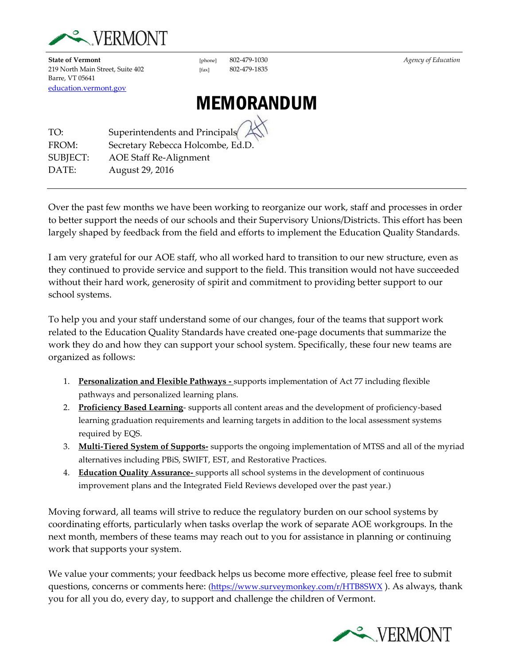

**State of Vermont** [phone] 802-479-1030<br>
219 North Main Street, Suite 402 [fax] 802-479-1835 219 North Main Street, Suite 402 [fax] Barre, VT 05641 [education.vermont.gov](http://education.vermont.gov/)

# MEMORANDUM

TO: Superintendents and Principals FROM: Secretary Rebecca Holcombe, Ed.D. SUBJECT: AOE Staff Re-Alignment DATE: August 29, 2016

Over the past few months we have been working to reorganize our work, staff and processes in order to better support the needs of our schools and their Supervisory Unions/Districts. This effort has been largely shaped by feedback from the field and efforts to implement the Education Quality Standards.

I am very grateful for our AOE staff, who all worked hard to transition to our new structure, even as they continued to provide service and support to the field. This transition would not have succeeded without their hard work, generosity of spirit and commitment to providing better support to our school systems.

To help you and your staff understand some of our changes, four of the teams that support work related to the Education Quality Standards have created one-page documents that summarize the work they do and how they can support your school system. Specifically, these four new teams are organized as follows:

- 1. **Personalization and Flexible Pathways -** supports implementation of Act 77 including flexible pathways and personalized learning plans.
- 2. **Proficiency Based Learning** supports all content areas and the development of proficiency-based learning graduation requirements and learning targets in addition to the local assessment systems required by EQS.
- 3. **Multi-Tiered System of Supports-** supports the ongoing implementation of MTSS and all of the myriad alternatives including PBiS, SWIFT, EST, and Restorative Practices.
- 4. **Education Quality Assurance-** supports all school systems in the development of continuous improvement plans and the Integrated Field Reviews developed over the past year.)

Moving forward, all teams will strive to reduce the regulatory burden on our school systems by coordinating efforts, particularly when tasks overlap the work of separate AOE workgroups. In the next month, members of these teams may reach out to you for assistance in planning or continuing work that supports your system.

We value your comments; your feedback helps us become more effective, please feel free to submit questions, concerns or comments here: [\(https://www.surveymonkey.com/r/HTB8SWX](https://www.surveymonkey.com/r/HTB8SWX)). As always, thank you for all you do, every day, to support and challenge the children of Vermont.

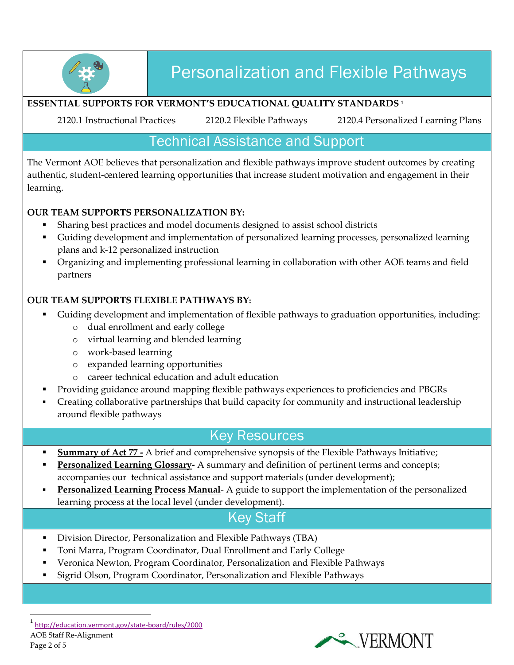

# Personalization and Flexible Pathways

#### **ESSENTIAL SUPPORTS FOR VERMONT'S EDUCATIONAL QUALITY STANDARDS <sup>1</sup>**

2120.1 Instructional Practices 2120.2 Flexible Pathways 2120.4 Personalized Learning Plans

## Technical Assistance and Support

The Vermont AOE believes that personalization and flexible pathways improve student outcomes by creating authentic, student-centered learning opportunities that increase student motivation and engagement in their learning.

#### **OUR TEAM SUPPORTS PERSONALIZATION BY:**

- Sharing best practices and model documents designed to assist school districts
- Guiding development and implementation of personalized learning processes, personalized learning plans and k-12 personalized instruction
- Organizing and implementing professional learning in collaboration with other AOE teams and field partners

#### **OUR TEAM SUPPORTS FLEXIBLE PATHWAYS BY:**

- Guiding development and implementation of flexible pathways to graduation opportunities, including:
	- o dual enrollment and early college
	- o virtual learning and blended learning
	- o work-based learning
	- o expanded learning opportunities
	- o career technical education and adult education
- Providing guidance around mapping flexible pathways experiences to proficiencies and PBGRs
- Creating collaborative partnerships that build capacity for community and instructional leadership around flexible pathways

### Key Resources

- **Summary of Act 77 -** A brief and comprehensive synopsis of the Flexible Pathways Initiative;
- **Personalized Learning Glossary-** A summary and definition of pertinent terms and concepts; accompanies our technical assistance and support materials (under development);
- **Personalized Learning Process Manual** A guide to support the implementation of the personalized learning process at the local level (under development).

## Key Staff

- Division Director, Personalization and Flexible Pathways (TBA)
- Toni Marra, Program Coordinator, Dual Enrollment and Early College
- Veronica Newton, Program Coordinator, Personalization and Flexible Pathways
- Sigrid Olson, Program Coordinator, Personalization and Flexible Pathways

 $\overline{a}$ 

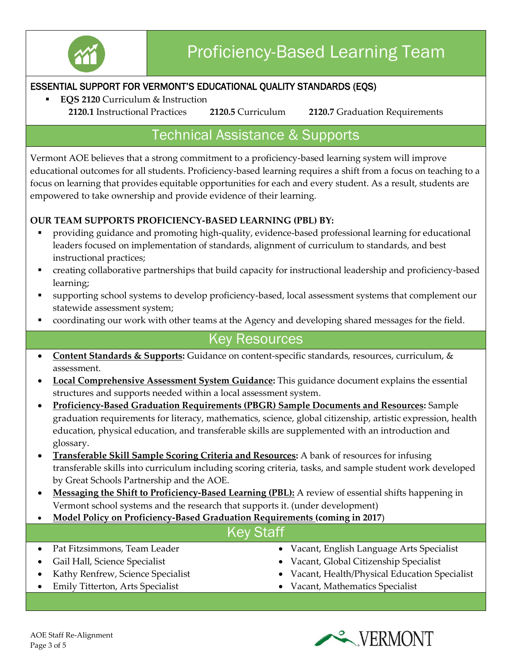

#### ESSENTIAL SUPPORT FOR VERMONT'S EDUCATIONAL QUALITY STANDARDS (EQS)

**EQS 2120** Curriculum & Instruction

**2120.1** Instructional Practices **2120.5** Curriculum **2120.7** Graduation Requirements

## Technical Assistance & Supports

Vermont AOE believes that a strong commitment to a proficiency-based learning system will improve educational outcomes for all students. Proficiency-based learning requires a shift from a focus on teaching to a focus on learning that provides equitable opportunities for each and every student. As a result, students are empowered to take ownership and provide evidence of their learning.

#### **OUR TEAM SUPPORTS PROFICIENCY-BASED LEARNING (PBL) BY:**

- providing guidance and promoting high-quality, evidence-based professional learning for educational leaders focused on implementation of standards, alignment of curriculum to standards, and best instructional practices;
- creating collaborative partnerships that build capacity for instructional leadership and proficiency-based learning;
- supporting school systems to develop proficiency-based, local assessment systems that complement our statewide assessment system;
- coordinating our work with other teams at the Agency and developing shared messages for the field.

## Key Resources

- **Content Standards & Supports:** Guidance on content-specific standards, resources, curriculum, & assessment.
- **Local Comprehensive Assessment System Guidance:** This guidance document explains the essential structures and supports needed within a local assessment system.
- **Proficiency-Based Graduation Requirements (PBGR) Sample Documents and Resources:** Sample graduation requirements for literacy, mathematics, science, global citizenship, artistic expression, health education, physical education, and transferable skills are supplemented with an introduction and glossary.
- **Transferable Skill Sample Scoring Criteria and Resources:** A bank of resources for infusing transferable skills into curriculum including scoring criteria, tasks, and sample student work developed by Great Schools Partnership and the AOE.
- **Messaging the Shift to Proficiency-Based Learning (PBL):** A review of essential shifts happening in Vermont school systems and the research that supports it. (under development)
- **Model Policy on Proficiency-Based Graduation Requirements (coming in 2017**)

## Key Staff

- Pat Fitzsimmons, Team Leader
- Gail Hall, Science Specialist
- Kathy Renfrew, Science Specialist
- Emily Titterton, Arts Specialist
- Vacant, English Language Arts Specialist
- Vacant, Global Citizenship Specialist
- Vacant, Health/Physical Education Specialist
- Vacant, Mathematics Specialist

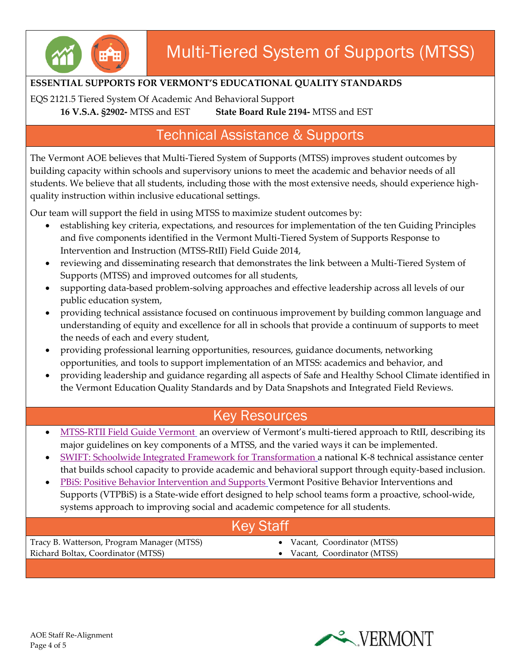

### **ESSENTIAL SUPPORTS FOR VERMONT'S EDUCATIONAL QUALITY STANDARDS**

EQS 2121.5 Tiered System Of Academic And Behavioral Support

**16 V.S.A. §2902-** MTSS and EST **State Board Rule 2194-** MTSS and EST

## Technical Assistance & Supports

The Vermont AOE believes that Multi-Tiered System of Supports (MTSS) improves student outcomes by building capacity within schools and supervisory unions to meet the academic and behavior needs of all students. We believe that all students, including those with the most extensive needs, should experience highquality instruction within inclusive educational settings.

Our team will support the field in using MTSS to maximize student outcomes by:

- establishing key criteria, expectations, and resources for implementation of the ten Guiding Principles and five components identified in the Vermont Multi-Tiered System of Supports Response to Intervention and Instruction (MTSS-RtII) Field Guide 2014,
- reviewing and disseminating research that demonstrates the link between a Multi-Tiered System of Supports (MTSS) and improved outcomes for all students,
- supporting data-based problem-solving approaches and effective leadership across all levels of our public education system,
- providing technical assistance focused on continuous improvement by building common language and understanding of equity and excellence for all in schools that provide a continuum of supports to meet the needs of each and every student,
- providing professional learning opportunities, resources, guidance documents, networking opportunities, and tools to support implementation of an MTSS: academics and behavior, and
- providing leadership and guidance regarding all aspects of Safe and Healthy School Climate identified in the Vermont Education Quality Standards and by Data Snapshots and Integrated Field Reviews.

## Key Resources

- [MTSS-RTII Field Guide Vermont](http://www.vriuvm.org/MTSS-RtII/field-guide/) an overview of Vermont's multi-tiered approach to RtII, describing its major guidelines on key components of a MTSS, and the varied ways it can be implemented.
- [SWIFT: Schoolwide Integrated Framework for Transformation](http://www.swiftschools.org/) a national K-8 technical assistance center that builds school capacity to provide academic and behavioral support through equity-based inclusion.
- [PBiS: Positive Behavior Intervention and Supports](http://www.pbisvermont.org/) Vermont Positive Behavior Interventions and Supports (VTPBiS) is a State-wide effort designed to help school teams form a proactive, school-wide, systems approach to improving social and academic competence for all students.

## Key Staff

Tracy B. Watterson, Program Manager (MTSS) Richard Boltax, Coordinator (MTSS)

- Vacant, Coordinator (MTSS)
- Vacant, Coordinator (MTSS)